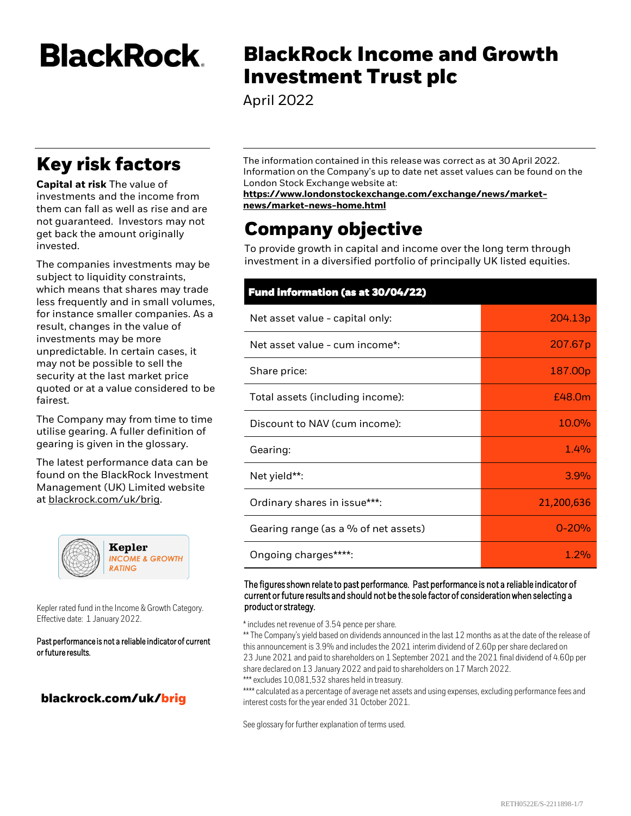**BlackRock** 

## **Key risk factors**

**Capital at risk** The value of investments and the income from them can fall as well as rise and are not guaranteed. Investors may not get back the amount originally invested.

The companies investments may be subject to liquidity constraints, which means that shares may trade less frequently and in small volumes, for instance smaller companies. As a result, changes in the value of investments may be more unpredictable. In certain cases, it may not be possible to sell the security at the last market price quoted or at a value considered to be fairest.

The Company may from time to time utilise gearing. A fuller definition of gearing is given in the glossary.

The latest performance data can be found on the BlackRock Investment Management (UK) Limited website at <blackrock.com/uk/brig>.



Kepler rated fund in the Income & Growth Category. Effective date: 1 January 2022.

Past performance is not a reliable indicator of current or future results.

## **blackrock.com/uk/brig**

# **BlackRock Income and Growth Investment Trust plc**

April 2022

The information contained in this release was correct as at 30 April 2022. Information on the Company's up to date net asset values can be found on the London Stock Exchange website at:

#### **[https://www.londonstockexchange.com/exchange/news/market](https://www.londonstockexchange.com/news?tab=news-explorer)news/market-news-home.html**

## **Company objective**

To provide growth in capital and income over the long term through investment in a diversified portfolio of principally UK listed equities.

# **Fund information (as at 30/04/22)** Net asset value - capital only: 204.13p Net asset value - cum income\*: 207.67p Share price: 2000 and 2000 and 2000 and 2000 and 2000 and 2000  $\sim 187.00$  p Total assets (including income): Total assets (including income): Discount to NAV (cum income): 10.0% Gearing: the contract of the contract of the contract of the contract of the contract of the contract of the contract of the contract of the contract of the contract of the contract of the contract of the contract of the c Net yield\*\*: 3.9% Ordinary shares in issue\*\*\*: 21,200,636 Gearing range (as a % of net assets) and a set of the control of  $\sim 0$ -20% Ongoing charges\*\*\*\*: and the state of the state of the state of the state of the state of the state of the state of the state of the state of the state of the state of the state of the state of the state of the state of th

#### The figures shown relate to past performance. Past performance is not a reliable indicator of current or future results and should not be the sole factor of consideration when selecting a product or strategy.

\* includes net revenue of 3.54 pence per share.

\*\* The Company's yield based on dividends announced in the last 12 months as at the date of the release of this announcement is 3.9% and includes the 2021 interim dividend of 2.60p per share declared on 23 June 2021 and paid to shareholders on 1 September 2021 and the 2021 final dividend of 4.60p per share declared on 13 January 2022 and paid to shareholders on 17 March 2022. \*\*\* excludes 10,081,532 shares held in treasury.

\*\*\*\* calculated as a percentage of average net assets and using expenses, excluding performance fees and interest costs for the year ended 31 October 2021.

See glossary for further explanation of terms used.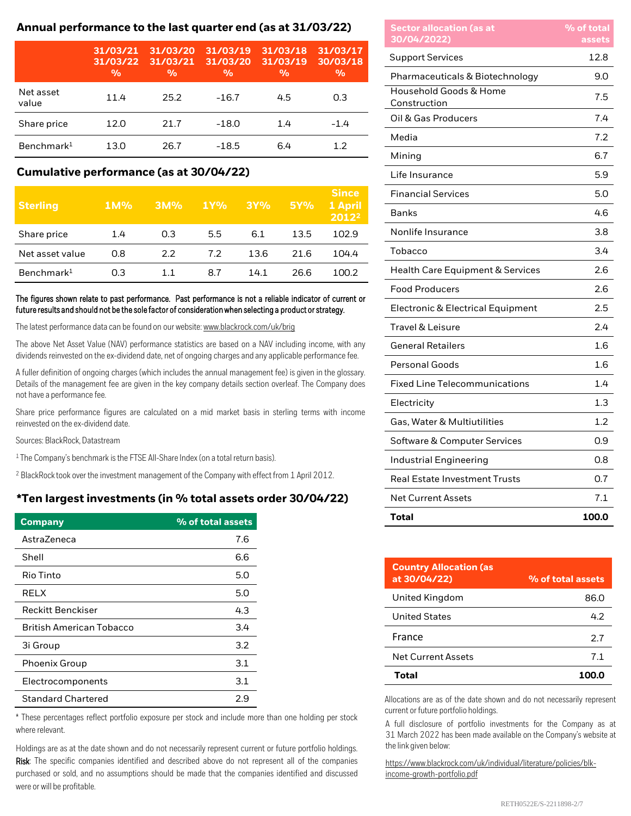## **Annual performance to the last quarter end (as at 31/03/22)**

|                        | 31/03/21<br>31/03/22<br>$\frac{0}{0}$ | 31/03/20<br>31/03/21<br>$\frac{0}{0}$ | 31/03/19<br>31/03/20<br>$\frac{0}{0}$ | 31/03/18<br>31/03/19<br>$\frac{0}{0}$ | 31/03/17<br>30/03/18<br>$\frac{0}{0}$ |
|------------------------|---------------------------------------|---------------------------------------|---------------------------------------|---------------------------------------|---------------------------------------|
| Net asset<br>value     | 11.4                                  | 25.2                                  | $-16.7$                               | 4.5                                   | 0.3                                   |
| Share price            | 12.0                                  | 21.7                                  | $-18.0$                               | 1.4                                   | $-1.4$                                |
| Benchmark <sup>1</sup> | 13.0                                  | 26.7                                  | $-18.5$                               | 6.4                                   | 12                                    |

## **Cumulative performance (as at 30/04/22)**

| <b>Sterling</b>        | $1M\%$ | 3M% | 1Y% | 3Y%  | <b>5Y%</b> | <b>Since</b><br>1 April<br>$2012^2$ |
|------------------------|--------|-----|-----|------|------------|-------------------------------------|
| Share price            | 1.4    | 0.3 | 5.5 | 6.1  | 13.5       | 102.9                               |
| Net asset value        | 0.8    | 2.2 | 7.2 | 13.6 | 21.6       | 104.4                               |
| Benchmark <sup>1</sup> | 0.3    | 11  | 8.7 | 14.1 | 26.6       | 100.2                               |

#### The figures shown relate to past performance. Past performance is not a reliable indicator of current or future results and should not be the sole factor of consideration when selecting a product or strategy.

The latest performance data can be found on our website: [www.blackrock.com/uk/brig](http://www.blackrock.com/uk/brig)

The above Net Asset Value (NAV) performance statistics are based on a NAV including income, with any dividends reinvested on the ex-dividend date, net of ongoing charges and any applicable performance fee.

A fuller definition of ongoing charges (which includes the annual management fee) is given in the glossary. Details of the management fee are given in the key company details section overleaf. The Company does not have a performance fee.

Share price performance figures are calculated on a mid market basis in sterling terms with income reinvested on the ex-dividend date.

Sources: BlackRock, Datastream

<sup>1</sup> The Company's benchmark is the FTSE All-Share Index (on a total return basis).

<sup>2</sup> BlackRock took over the investment management of the Company with effect from 1 April 2012.

## **\*Ten largest investments (in % total assets order 30/04/22)**

| <b>Company</b>                  | % of total assets |
|---------------------------------|-------------------|
| AstraZeneca                     | 7.6               |
| Shell                           | 6.6               |
| Rio Tinto                       | 5.0               |
| RELX                            | 5.0               |
| <b>Reckitt Benckiser</b>        | 4.3               |
| <b>British American Tobacco</b> | 3.4               |
| 3i Group                        | 3.2               |
| Phoenix Group                   | 3.1               |
| Electrocomponents               | 3.1               |
| <b>Standard Chartered</b>       | 2.9               |

\* These percentages reflect portfolio exposure per stock and include more than one holding per stock where relevant.

Holdings are as at the date shown and do not necessarily represent current or future portfolio holdings. Risk: The specific companies identified and described above do not represent all of the companies purchased or sold, and no assumptions should be made that the companies identified and discussed were or will be profitable.

| <b>Sector allocation (as at</b><br>30/04/2022) | % of total<br>assets |
|------------------------------------------------|----------------------|
| <b>Support Services</b>                        | 12.8                 |
| Pharmaceuticals & Biotechnology                | 9.0                  |
| Household Goods & Home<br>Construction         | 7.5                  |
| Oil & Gas Producers                            | 7.4                  |
| Media                                          | 7.2                  |
| Mining                                         | 6.7                  |
| Life Insurance                                 | 5.9                  |
| <b>Financial Services</b>                      | 5.0                  |
| <b>Banks</b>                                   | 4.6                  |
| Nonlife Insurance                              | 3.8                  |
| Tobacco                                        | 3.4                  |
| <b>Health Care Equipment &amp; Services</b>    | 2.6                  |
| <b>Food Producers</b>                          | 2.6                  |
| Electronic & Electrical Equipment              | $2.5\,$              |
| <b>Travel &amp; Leisure</b>                    | 2.4                  |
| <b>General Retailers</b>                       | 1.6                  |
| <b>Personal Goods</b>                          | 1.6                  |
| <b>Fixed Line Telecommunications</b>           | 1.4                  |
| Electricity                                    | 1.3                  |
| Gas, Water & Multiutilities                    | 1.2                  |
| Software & Computer Services                   | 0.9                  |
| <b>Industrial Engineering</b>                  | 0.8                  |
| <b>Real Estate Investment Trusts</b>           | 0.7                  |
| <b>Net Current Assets</b>                      | 7.1                  |
| Total                                          | 100.0                |

| <b>Country Allocation (as</b><br>at 30/04/22) | % of total assets |
|-----------------------------------------------|-------------------|
| United Kingdom                                | 86.0              |
| United States                                 | 42                |
| France                                        | 2.7               |
| Net Current Assets                            | 7.1               |
| Total                                         | 100.0             |

Allocations are as of the date shown and do not necessarily represent current or future portfolio holdings.

A full disclosure of portfolio investments for the Company as at 31 March 2022 has been made available on the Company's website at the link given below:

[https://www.blackrock.com/uk/individual/literature/policies/blk](https://www.blackrock.com/uk/individual/literature/policies/blk-income-growth-portfolio.pdf)income-growth-portfolio.pdf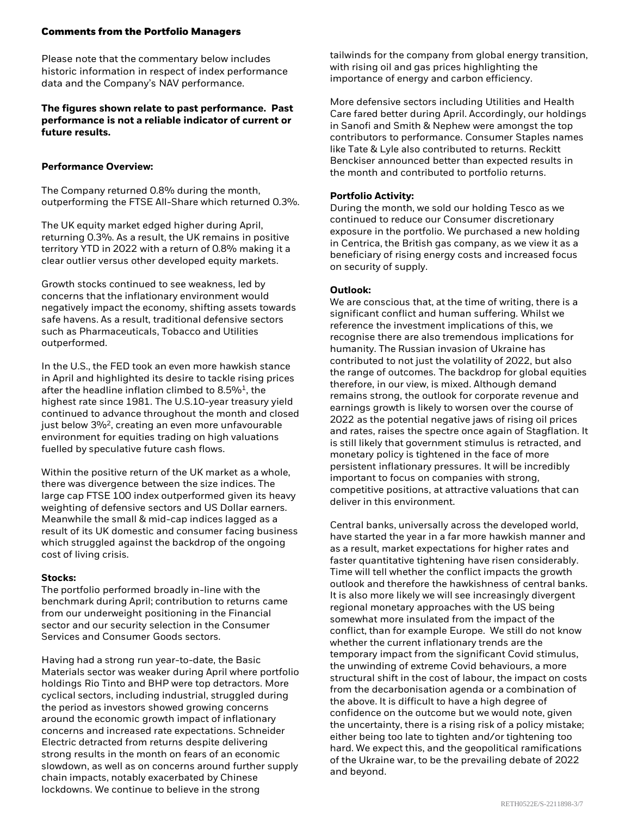#### **Comments from the Portfolio Managers**

Please note that the commentary below includes historic information in respect of index performance data and the Company's NAV performance.

### **The figures shown relate to past performance. Past performance is not a reliable indicator of current or future results.**

## **Performance Overview:**

The Company returned 0.8% during the month, outperforming the FTSE All-Share which returned 0.3%.

The UK equity market edged higher during April, returning 0.3%. As a result, the UK remains in positive territory YTD in 2022 with a return of 0.8% making it a clear outlier versus other developed equity markets.

Growth stocks continued to see weakness, led by concerns that the inflationary environment would negatively impact the economy, shifting assets towards safe havens. As a result, traditional defensive sectors such as Pharmaceuticals, Tobacco and Utilities outperformed.

In the U.S., the FED took an even more hawkish stance in April and highlighted its desire to tackle rising prices after the headline inflation climbed to 8.5%<sup>1</sup>, the highest rate since 1981. The U.S.10-year treasury yield continued to advance throughout the month and closed just below 3%<sup>2</sup>, creating an even more unfavourable environment for equities trading on high valuations fuelled by speculative future cash flows.

Within the positive return of the UK market as a whole, there was divergence between the size indices. The large cap FTSE 100 index outperformed given its heavy weighting of defensive sectors and US Dollar earners. Meanwhile the small & mid-cap indices lagged as a result of its UK domestic and consumer facing business which struggled against the backdrop of the ongoing cost of living crisis.

## **Stocks:**

The portfolio performed broadly in-line with the benchmark during April; contribution to returns came from our underweight positioning in the Financial sector and our security selection in the Consumer Services and Consumer Goods sectors.

Having had a strong run year-to-date, the Basic Materials sector was weaker during April where portfolio holdings Rio Tinto and BHP were top detractors. More cyclical sectors, including industrial, struggled during the period as investors showed growing concerns around the economic growth impact of inflationary concerns and increased rate expectations. Schneider Electric detracted from returns despite delivering strong results in the month on fears of an economic slowdown, as well as on concerns around further supply chain impacts, notably exacerbated by Chinese lockdowns. We continue to believe in the strong

tailwinds for the company from global energy transition, with rising oil and gas prices highlighting the importance of energy and carbon efficiency.

More defensive sectors including Utilities and Health Care fared better during April. Accordingly, our holdings in Sanofi and Smith & Nephew were amongst the top contributors to performance. Consumer Staples names like Tate & Lyle also contributed to returns. Reckitt Benckiser announced better than expected results in the month and contributed to portfolio returns.

### **Portfolio Activity:**

During the month, we sold our holding Tesco as we continued to reduce our Consumer discretionary exposure in the portfolio. We purchased a new holding in Centrica, the British gas company, as we view it as a beneficiary of rising energy costs and increased focus on security of supply.

#### **Outlook:**

We are conscious that, at the time of writing, there is a significant conflict and human suffering. Whilst we reference the investment implications of this, we recognise there are also tremendous implications for humanity. The Russian invasion of Ukraine has contributed to not just the volatility of 2022, but also the range of outcomes. The backdrop for global equities therefore, in our view, is mixed. Although demand remains strong, the outlook for corporate revenue and earnings growth is likely to worsen over the course of 2022 as the potential negative jaws of rising oil prices and rates, raises the spectre once again of Stagflation. It is still likely that government stimulus is retracted, and monetary policy is tightened in the face of more persistent inflationary pressures. It will be incredibly important to focus on companies with strong, competitive positions, at attractive valuations that can deliver in this environment.

Central banks, universally across the developed world, have started the year in a far more hawkish manner and as a result, market expectations for higher rates and faster quantitative tightening have risen considerably. Time will tell whether the conflict impacts the growth outlook and therefore the hawkishness of central banks. It is also more likely we will see increasingly divergent regional monetary approaches with the US being somewhat more insulated from the impact of the conflict, than for example Europe. We still do not know whether the current inflationary trends are the temporary impact from the significant Covid stimulus, the unwinding of extreme Covid behaviours, a more structural shift in the cost of labour, the impact on costs from the decarbonisation agenda or a combination of the above. It is difficult to have a high degree of confidence on the outcome but we would note, given the uncertainty, there is a rising risk of a policy mistake; either being too late to tighten and/or tightening too hard. We expect this, and the geopolitical ramifications of the Ukraine war, to be the prevailing debate of 2022 and beyond.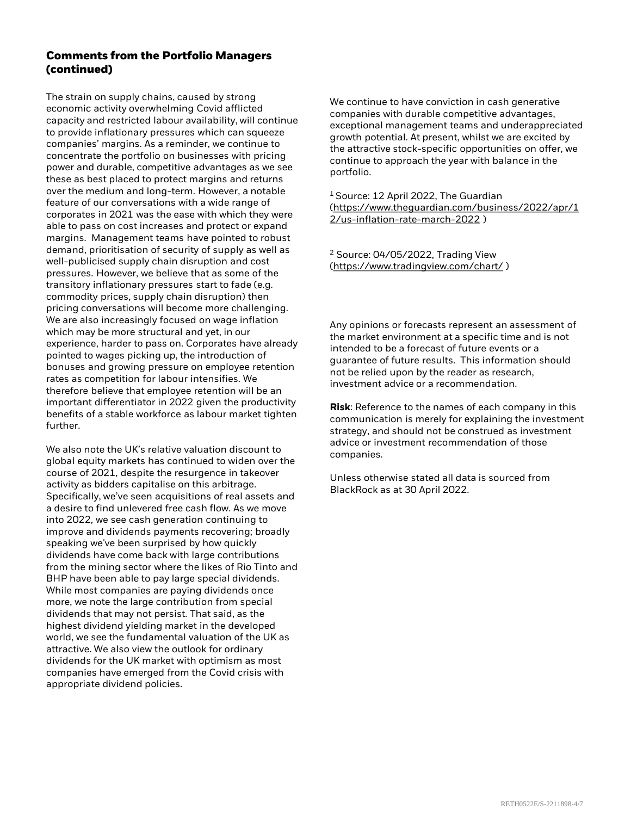## **Comments from the Portfolio Managers (continued)**

The strain on supply chains, caused by strong economic activity overwhelming Covid afflicted capacity and restricted labour availability, will continue to provide inflationary pressures which can squeeze companies' margins. As a reminder, we continue to concentrate the portfolio on businesses with pricing power and durable, competitive advantages as we see these as best placed to protect margins and returns over the medium and long-term. However, a notable feature of our conversations with a wide range of corporates in 2021 was the ease with which they were able to pass on cost increases and protect or expand margins. Management teams have pointed to robust demand, prioritisation of security of supply as well as well-publicised supply chain disruption and cost pressures. However, we believe that as some of the transitory inflationary pressures start to fade (e.g. commodity prices, supply chain disruption) then pricing conversations will become more challenging. We are also increasingly focused on wage inflation which may be more structural and yet, in our experience, harder to pass on. Corporates have already pointed to wages picking up, the introduction of bonuses and growing pressure on employee retention rates as competition for labour intensifies. We therefore believe that employee retention will be an important differentiator in 2022 given the productivity benefits of a stable workforce as labour market tighten further.

We also note the UK's relative valuation discount to global equity markets has continued to widen over the course of 2021, despite the resurgence in takeover activity as bidders capitalise on this arbitrage. Specifically, we've seen acquisitions of real assets and a desire to find unlevered free cash flow. As we move into 2022, we see cash generation continuing to improve and dividends payments recovering; broadly speaking we've been surprised by how quickly dividends have come back with large contributions from the mining sector where the likes of Rio Tinto and BHP have been able to pay large special dividends. While most companies are paying dividends once more, we note the large contribution from special dividends that may not persist. That said, as the highest dividend yielding market in the developed world, we see the fundamental valuation of the UK as attractive. We also view the outlook for ordinary dividends for the UK market with optimism as most companies have emerged from the Covid crisis with appropriate dividend policies.

We continue to have conviction in cash generative companies with durable competitive advantages, exceptional management teams and underappreciated growth potential. At present, whilst we are excited by the attractive stock-specific opportunities on offer, we continue to approach the year with balance in the portfolio.

<sup>1</sup> Source: 12 April 2022, The Guardian [\(https://www.theguardian.com/business/2022/apr/1](https://www.theguardian.com/business/2022/apr/12/us-inflation-rate-march-2022) 2/us-inflation-rate-march-2022 )

<sup>2</sup> Source: 04/05/2022, Trading View [\(https://www.tradingview.com/chart/](https://www.tradingview.com/chart/) )

Any opinions or forecasts represent an assessment of the market environment at a specific time and is not intended to be a forecast of future events or a guarantee of future results. This information should not be relied upon by the reader as research, investment advice or a recommendation.

**Risk**: Reference to the names of each company in this communication is merely for explaining the investment strategy, and should not be construed as investment advice or investment recommendation of those companies.

Unless otherwise stated all data is sourced from BlackRock as at 30 April 2022.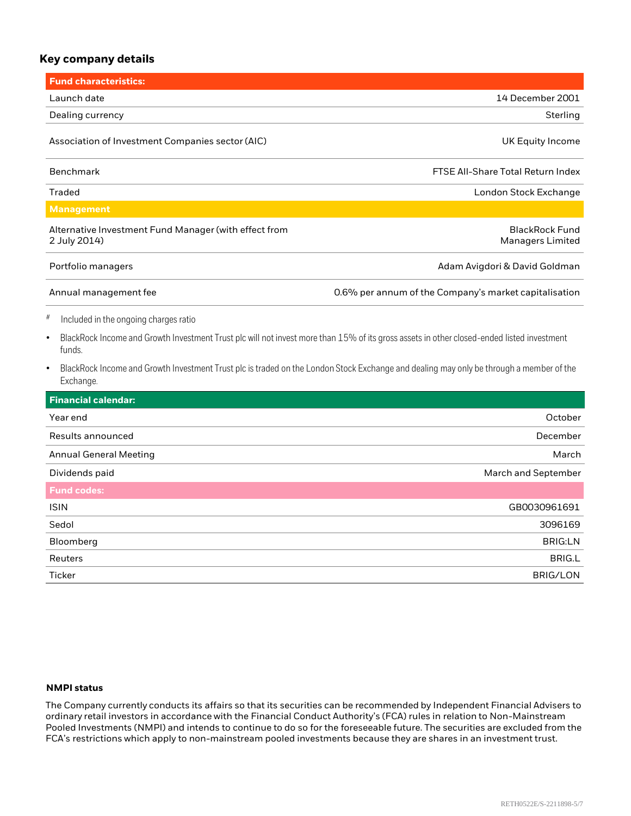## **Key company details**

| <b>Fund characteristics:</b>                                                                                                                                      |                                                       |
|-------------------------------------------------------------------------------------------------------------------------------------------------------------------|-------------------------------------------------------|
| Launch date                                                                                                                                                       | 14 December 2001                                      |
| Dealing currency                                                                                                                                                  | Sterling                                              |
| Association of Investment Companies sector (AIC)                                                                                                                  | UK Equity Income                                      |
| <b>Benchmark</b>                                                                                                                                                  | <b>FTSE All-Share Total Return Index</b>              |
| <b>Traded</b>                                                                                                                                                     | London Stock Exchange                                 |
| <b>Management</b>                                                                                                                                                 |                                                       |
| Alternative Investment Fund Manager (with effect from<br>2 July 2014)                                                                                             | <b>BlackRock Fund</b><br><b>Managers Limited</b>      |
| Portfolio managers                                                                                                                                                | Adam Avigdori & David Goldman                         |
| Annual management fee                                                                                                                                             | 0.6% per annum of the Company's market capitalisation |
| #<br>Included in the ongoing charges ratio                                                                                                                        |                                                       |
| BlackRock Income and Growth Investment Trust plc will not invest more than 15% of its gross assets in other closed-ended listed investment<br>$\bullet$<br>funds. |                                                       |
| BlackRock Income and Growth Investment Trust plc is traded on the London Stock Exchange and dealing may only be through a member of the<br>Exchange.              |                                                       |
| <b>Financial calendar:</b>                                                                                                                                        |                                                       |
| Year end                                                                                                                                                          | October                                               |
| Results announced                                                                                                                                                 | December                                              |
| <b>Annual General Meeting</b>                                                                                                                                     | March                                                 |
| Dividends paid                                                                                                                                                    | March and September                                   |
| <b>Fund codes:</b>                                                                                                                                                |                                                       |
| <b>ISIN</b>                                                                                                                                                       | GB0030961691                                          |
| Sedol                                                                                                                                                             | 3096169                                               |
| Bloomberg                                                                                                                                                         | <b>BRIG:LN</b>                                        |
| Reuters                                                                                                                                                           | <b>BRIG.L</b>                                         |
| Ticker                                                                                                                                                            | <b>BRIG/LON</b>                                       |

#### **NMPI status**

The Company currently conducts its affairs so that its securities can be recommended by Independent Financial Advisers to ordinary retail investors in accordance with the Financial Conduct Authority's (FCA) rules in relation to Non-Mainstream Pooled Investments (NMPI) and intends to continue to do so for the foreseeable future. The securities are excluded from the FCA's restrictions which apply to non-mainstream pooled investments because they are shares in an investment trust.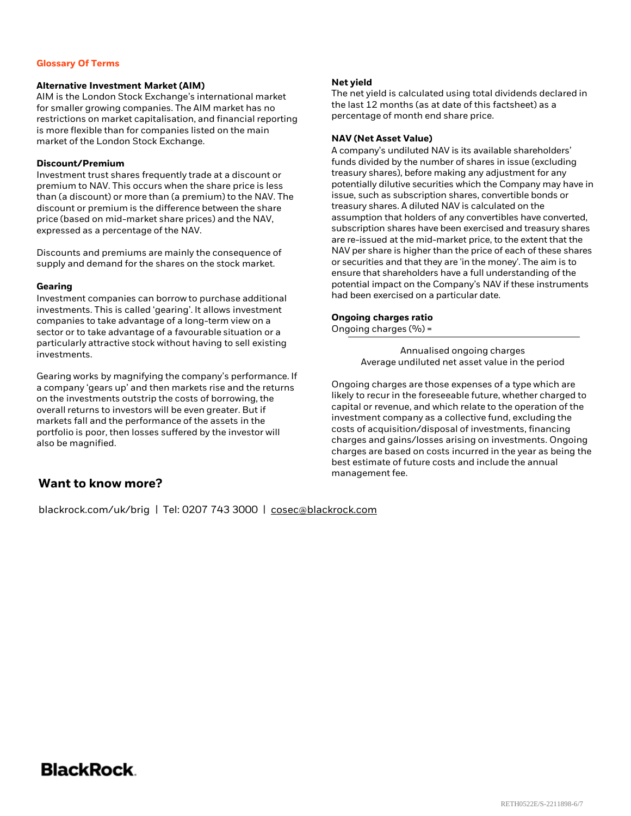#### **Glossary Of Terms**

#### **Alternative Investment Market (AIM)**

AIM is the London Stock Exchange's international market for smaller growing companies. The AIM market has no restrictions on market capitalisation, and financial reporting is more flexible than for companies listed on the main market of the London Stock Exchange.

#### **Discount/Premium**

Investment trust shares frequently trade at a discount or premium to NAV. This occurs when the share price is less than (a discount) or more than (a premium) to the NAV. The discount or premium is the difference between the share price (based on mid-market share prices) and the NAV, expressed as a percentage of the NAV.

Discounts and premiums are mainly the consequence of supply and demand for the shares on the stock market.

#### **Gearing**

Investment companies can borrow to purchase additional investments. This is called 'gearing'. It allows investment companies to take advantage of a long-term view on a sector or to take advantage of a favourable situation or a particularly attractive stock without having to sell existing investments.

Gearing works by magnifying the company's performance. If a company 'gears up' and then markets rise and the returns on the investments outstrip the costs of borrowing, the overall returns to investors will be even greater. But if markets fall and the performance of the assets in the portfolio is poor, then losses suffered by the investor will also be magnified.

#### **Net yield**

The net yield is calculated using total dividends declared in the last 12 months (as at date of this factsheet) as a percentage of month end share price.

#### **NAV (Net Asset Value)**

A company's undiluted NAV is its available shareholders' funds divided by the number of shares in issue (excluding treasury shares), before making any adjustment for any potentially dilutive securities which the Company may have in issue, such as subscription shares, convertible bonds or treasury shares. A diluted NAV is calculated on the assumption that holders of any convertibles have converted, subscription shares have been exercised and treasury shares are re-issued at the mid-market price, to the extent that the NAV per share is higher than the price of each of these shares or securities and that they are 'in the money'. The aim is to ensure that shareholders have a full understanding of the potential impact on the Company's NAV if these instruments had been exercised on a particular date.

#### **Ongoing charges ratio**

Ongoing charges (%) =

Annualised ongoing charges Average undiluted net asset value in the period

Ongoing charges are those expenses of a type which are likely to recur in the foreseeable future, whether charged to capital or revenue, and which relate to the operation of the investment company as a collective fund, excluding the costs of acquisition/disposal of investments, financing charges and gains/losses arising on investments. Ongoing charges are based on costs incurred in the year as being the best estimate of future costs and include the annual management fee.

## **Want to know more?**

blackrock.com/uk/brig | Tel: 0207 743 3000 | [cosec@blackrock.com](mailto:cosec@blackrock.com)

## BlackRock.